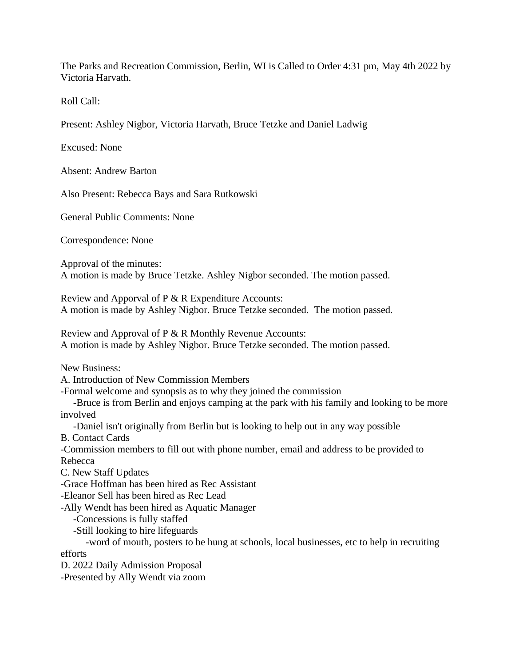The Parks and Recreation Commission, Berlin, WI is Called to Order 4:31 pm, May 4th 2022 by Victoria Harvath.

Roll Call:

Present: Ashley Nigbor, Victoria Harvath, Bruce Tetzke and Daniel Ladwig

Excused: None

Absent: Andrew Barton

Also Present: Rebecca Bays and Sara Rutkowski

General Public Comments: None

Correspondence: None

Approval of the minutes: A motion is made by Bruce Tetzke. Ashley Nigbor seconded. The motion passed.

Review and Apporval of P & R Expenditure Accounts: A motion is made by Ashley Nigbor. Bruce Tetzke seconded. The motion passed.

Review and Approval of P & R Monthly Revenue Accounts: A motion is made by Ashley Nigbor. Bruce Tetzke seconded. The motion passed.

New Business:

A. Introduction of New Commission Members

-Formal welcome and synopsis as to why they joined the commission

-Bruce is from Berlin and enjoys camping at the park with his family and looking to be more involved

-Daniel isn't originally from Berlin but is looking to help out in any way possible

B. Contact Cards

-Commission members to fill out with phone number, email and address to be provided to Rebecca

C. New Staff Updates

-Grace Hoffman has been hired as Rec Assistant

-Eleanor Sell has been hired as Rec Lead

-Ally Wendt has been hired as Aquatic Manager

-Concessions is fully staffed

-Still looking to hire lifeguards

-word of mouth, posters to be hung at schools, local businesses, etc to help in recruiting efforts

D. 2022 Daily Admission Proposal

-Presented by Ally Wendt via zoom